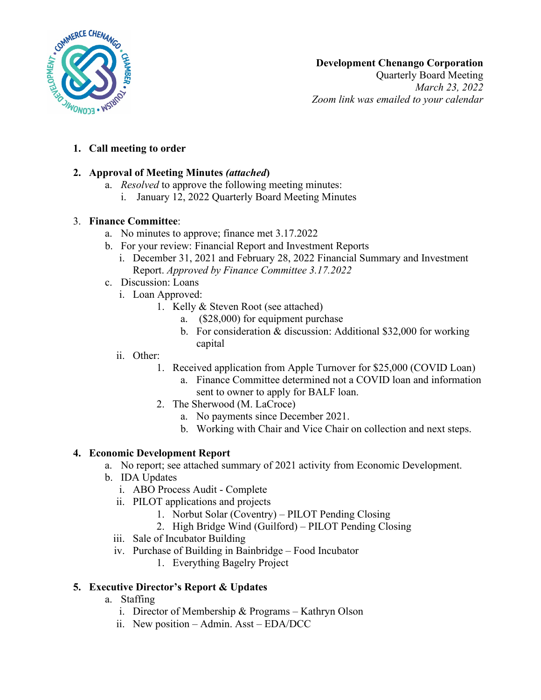

Quarterly Board Meeting *March 23, 2022 Zoom link was emailed to your calendar*

# **1. Call meeting to order**

## **2. Approval of Meeting Minutes** *(attached***)**

- a. *Resolved* to approve the following meeting minutes:
	- i. January 12, 2022 Quarterly Board Meeting Minutes

#### 3. **Finance Committee**:

- a. No minutes to approve; finance met 3.17.2022
- b. For your review: Financial Report and Investment Reports
	- i. December 31, 2021 and February 28, 2022 Financial Summary and Investment Report. *Approved by Finance Committee 3.17.2022*
- c. Discussion: Loans
	- i. Loan Approved:
		- 1. Kelly & Steven Root (see attached)
			- a. (\$28,000) for equipment purchase
			- b. For consideration & discussion: Additional \$32,000 for working capital

#### ii. Other:

- 1. Received application from Apple Turnover for \$25,000 (COVID Loan)
	- a. Finance Committee determined not a COVID loan and information sent to owner to apply for BALF loan.
- 2. The Sherwood (M. LaCroce)
	- a. No payments since December 2021.
	- b. Working with Chair and Vice Chair on collection and next steps.

### **4. Economic Development Report**

- a. No report; see attached summary of 2021 activity from Economic Development.
- b. IDA Updates
	- i. ABO Process Audit Complete
	- ii. PILOT applications and projects
		- 1. Norbut Solar (Coventry) PILOT Pending Closing
		- 2. High Bridge Wind (Guilford) PILOT Pending Closing
	- iii. Sale of Incubator Building
	- iv. Purchase of Building in Bainbridge Food Incubator
		- 1. Everything Bagelry Project

### **5. Executive Director's Report & Updates**

- a. Staffing
	- i. Director of Membership & Programs Kathryn Olson
	- ii. New position Admin. Asst EDA/DCC